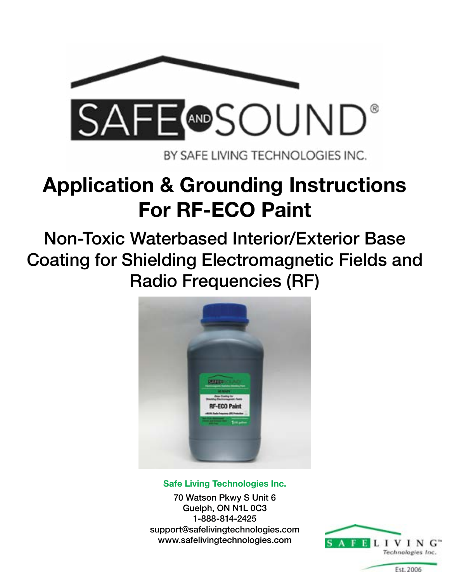

BY SAFE LIVING TECHNOLOGIES INC.

# **Application & Grounding Instructions For RF-ECO Paint**

Non-Toxic Waterbased Interior/Exterior Base Coating for Shielding Electromagnetic Fields and Radio Frequencies (RF)



#### **Safe Living Technologies Inc.**

70 Watson Pkwy S Unit 6 Guelph, ON N1L 0C3 1-888-814-2425 support@safelivingtechnologies.com www.safelivingtechnologies.com

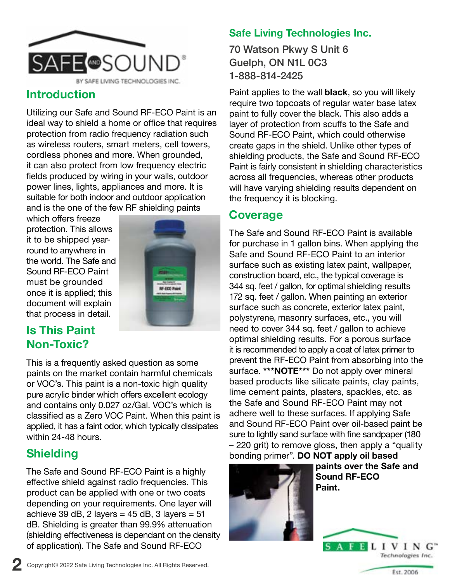

## **Introduction**

Utilizing our Safe and Sound RF-ECO Paint is an ideal way to shield a home or office that requires protection from radio frequency radiation such as wireless routers, smart meters, cell towers, cordless phones and more. When grounded, it can also protect from low frequency electric fields produced by wiring in your walls, outdoor power lines, lights, appliances and more. It is suitable for both indoor and outdoor application and is the one of the few RF shielding paints

which offers freeze protection. This allows it to be shipped yearround to anywhere in the world. The Safe and Sound RF-ECO Paint must be grounded once it is applied; this document will explain that process in detail.



# **Is This Paint Non-Toxic?**

This is a frequently asked question as some paints on the market contain harmful chemicals or VOC's. This paint is a non-toxic high quality pure acrylic binder which offers excellent ecology and contains only 0.027 oz/Gal. VOC's which is classified as a Zero VOC Paint. When this paint is applied, it has a faint odor, which typically dissipates within 24-48 hours.

# **Shielding**

The Safe and Sound RF-ECO Paint is a highly effective shield against radio frequencies. This product can be applied with one or two coats depending on your requirements. One layer will achieve 39 dB, 2 layers =  $45$  dB, 3 layers =  $51$ dB. Shielding is greater than 99.9% attenuation (shielding effectiveness is dependant on the density of application). The Safe and Sound RF-ECO

## **Safe Living Technologies Inc.**

70 Watson Pkwy S Unit 6 Guelph, ON N1L 0C3 1-888-814-2425

Paint applies to the wall **black**, so you will likely require two topcoats of regular water base latex paint to fully cover the black. This also adds a layer of protection from scuffs to the Safe and Sound RF-ECO Paint, which could otherwise create gaps in the shield. Unlike other types of shielding products, the Safe and Sound RF-ECO Paint is fairly consistent in shielding characteristics across all frequencies, whereas other products will have varying shielding results dependent on the frequency it is blocking.

## **Coverage**

The Safe and Sound RF-ECO Paint is available for purchase in 1 gallon bins. When applying the Safe and Sound RF-ECO Paint to an interior surface such as existing latex paint, wallpaper, construction board, etc., the typical coverage is 344 sq. feet / gallon, for optimal shielding results 172 sq. feet / gallon. When painting an exterior surface such as concrete, exterior latex paint, polystyrene, masonry surfaces, etc., you will need to cover 344 sq. feet / gallon to achieve optimal shielding results. For a porous surface it is recommended to apply a coat of latex primer to prevent the RF-ECO Paint from absorbing into the surface. **\*\*\*NOTE\*\*\*** Do not apply over mineral based products like silicate paints, clay paints, lime cement paints, plasters, spackles, etc. as the Safe and Sound RF-ECO Paint may not adhere well to these surfaces. If applying Safe and Sound RF-ECO Paint over oil-based paint be sure to lightly sand surface with fine sandpaper (180 – 220 grit) to remove gloss, then apply a "quality bonding primer". **DO NOT apply oil based** 



 **paints over the Safe and Sound RF-ECO Paint.**

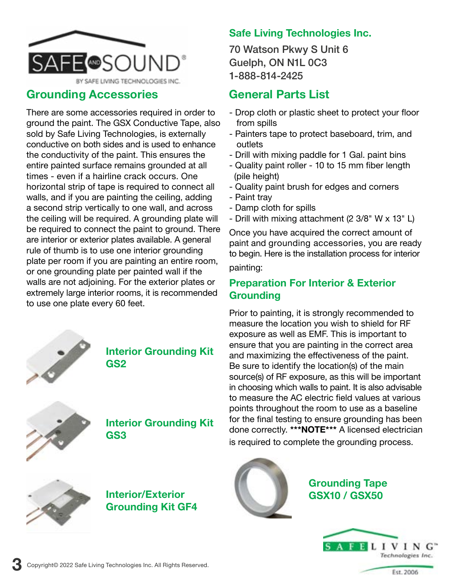

#### **Grounding Accessories**

There are some accessories required in order to ground the paint. The GSX Conductive Tape, also sold by Safe Living Technologies, is externally conductive on both sides and is used to enhance the conductivity of the paint. This ensures the entire painted surface remains grounded at all times - even if a hairline crack occurs. One horizontal strip of tape is required to connect all walls, and if you are painting the ceiling, adding a second strip vertically to one wall, and across the ceiling will be required. A grounding plate will be required to connect the paint to ground. There are interior or exterior plates available. A general rule of thumb is to use one interior grounding plate per room if you are painting an entire room, or one grounding plate per painted wall if the walls are not adjoining. For the exterior plates or extremely large interior rooms, it is recommended to use one plate every 60 feet.



#### **Interior Grounding Kit GS2**



#### **Interior Grounding Kit GS3**



**3**

#### **Interior/Exterior Grounding Kit GF4**

#### **Safe Living Technologies Inc.**

70 Watson Pkwy S Unit 6 Guelph, ON N1L 0C3 1-888-814-2425

# **General Parts List**

- Drop cloth or plastic sheet to protect your floor from spills
- Painters tape to protect baseboard, trim, and outlets
- Drill with mixing paddle for 1 Gal. paint bins
- Quality paint roller 10 to 15 mm fiber length (pile height)
- Quality paint brush for edges and corners
- Paint tray
- Damp cloth for spills
- Drill with mixing attachment (2 3/8" W x 13" L)

Once you have acquired the correct amount of paint and grounding accessories, you are ready to begin. Here is the installation process for interior

painting:

#### **Preparation For Interior & Exterior Grounding**

Prior to painting, it is strongly recommended to measure the location you wish to shield for RF exposure as well as EMF. This is important to ensure that you are painting in the correct area and maximizing the effectiveness of the paint. Be sure to identify the location(s) of the main source(s) of RF exposure, as this will be important in choosing which walls to paint. It is also advisable to measure the AC electric field values at various points throughout the room to use as a baseline for the final testing to ensure grounding has been done correctly. **\*\*\*NOTE\*\*\*** A licensed electrician is required to complete the grounding process.



**Grounding Tape GSX10 / GSX50**

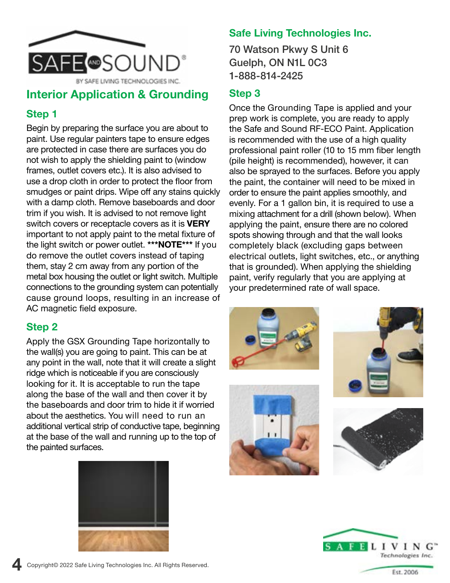

## **Interior Application & Grounding**

#### **Step 1**

Begin by preparing the surface you are about to paint. Use regular painters tape to ensure edges are protected in case there are surfaces you do not wish to apply the shielding paint to (window frames, outlet covers etc.). It is also advised to use a drop cloth in order to protect the floor from smudges or paint drips. Wipe off any stains quickly with a damp cloth. Remove baseboards and door trim if you wish. It is advised to not remove light switch covers or receptacle covers as it is **VERY** important to not apply paint to the metal fixture of the light switch or power outlet. **\*\*\*NOTE\*\*\*** If you do remove the outlet covers instead of taping them, stay 2 cm away from any portion of the metal box housing the outlet or light switch. Multiple connections to the grounding system can potentially cause ground loops, resulting in an increase of AC magnetic field exposure.

#### **Step 2**

**4**

Apply the GSX Grounding Tape horizontally to the wall(s) you are going to paint. This can be at any point in the wall, note that it will create a slight ridge which is noticeable if you are consciously looking for it. It is acceptable to run the tape along the base of the wall and then cover it by the baseboards and door trim to hide it if worried about the aesthetics. You will need to run an additional vertical strip of conductive tape, beginning at the base of the wall and running up to the top of the painted surfaces.



#### **Safe Living Technologies Inc.**

70 Watson Pkwy S Unit 6 Guelph, ON N1L 0C3 1-888-814-2425

#### **Step 3**

Once the Grounding Tape is applied and your prep work is complete, you are ready to apply the Safe and Sound RF-ECO Paint. Application is recommended with the use of a high quality professional paint roller (10 to 15 mm fiber length (pile height) is recommended), however, it can also be sprayed to the surfaces. Before you apply the paint, the container will need to be mixed in order to ensure the paint applies smoothly, and evenly. For a 1 gallon bin, it is required to use a mixing attachment for a drill (shown below). When applying the paint, ensure there are no colored spots showing through and that the wall looks completely black (excluding gaps between electrical outlets, light switches, etc., or anything that is grounded). When applying the shielding paint, verify regularly that you are applying at your predetermined rate of wall space.











Copyright© 2022 Safe Living Technologies Inc. All Rights Reserved.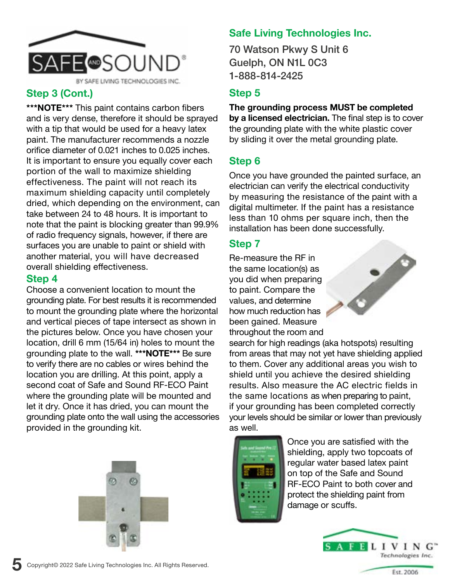

#### **Step 3 (Cont.)**

**\*\*\*NOTE\*\*\*** This paint contains carbon fibers and is very dense, therefore it should be sprayed with a tip that would be used for a heavy latex paint. The manufacturer recommends a nozzle orifice diameter of 0.021 inches to 0.025 inches. It is important to ensure you equally cover each portion of the wall to maximize shielding effectiveness. The paint will not reach its maximum shielding capacity until completely dried, which depending on the environment, can take between 24 to 48 hours. It is important to note that the paint is blocking greater than 99.9% of radio frequency signals, however, if there are surfaces you are unable to paint or shield with another material, you will have decreased overall shielding effectiveness.

#### **Step 4**

**5**

Choose a convenient location to mount the grounding plate. For best results it is recommended to mount the grounding plate where the horizontal and vertical pieces of tape intersect as shown in the pictures below. Once you have chosen your location, drill 6 mm (15/64 in) holes to mount the grounding plate to the wall. **\*\*\*NOTE\*\*\*** Be sure to verify there are no cables or wires behind the location you are drilling. At this point, apply a second coat of Safe and Sound RF-ECO Paint where the grounding plate will be mounted and let it dry. Once it has dried, you can mount the grounding plate onto the wall using the accessories provided in the grounding kit.



## **Safe Living Technologies Inc.**

70 Watson Pkwy S Unit 6 Guelph, ON N1L 0C3 1-888-814-2425

#### **Step 5**

**The grounding process MUST be completed by a licensed electrician.** The final step is to cover the grounding plate with the white plastic cover by sliding it over the metal grounding plate.

## **Step 6**

Once you have grounded the painted surface, an electrician can verify the electrical conductivity by measuring the resistance of the paint with a digital multimeter. If the paint has a resistance less than 10 ohms per square inch, then the installation has been done successfully.

#### **Step 7**

Re-measure the RF in the same location(s) as you did when preparing to paint. Compare the values, and determine how much reduction has been gained. Measure throughout the room and

search for high readings (aka hotspots) resulting from areas that may not yet have shielding applied to them. Cover any additional areas you wish to shield until you achieve the desired shielding results. Also measure the AC electric fields in the same locations as when preparing to paint, if your grounding has been completed correctly your levels should be similar or lower than previously as well.



Once you are satisfied with the shielding, apply two topcoats of regular water based latex paint on top of the Safe and Sound RF-ECO Paint to both cover and protect the shielding paint from damage or scuffs.



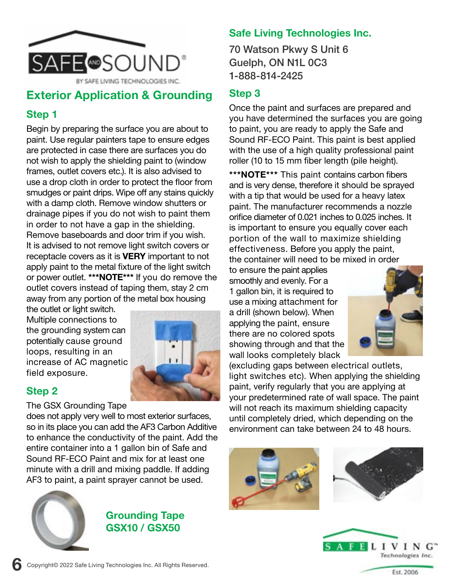

# **Exterior Application & Grounding**

#### **Step 1**

Begin by preparing the surface you are about to paint. Use regular painters tape to ensure edges are protected in case there are surfaces you do not wish to apply the shielding paint to (window frames, outlet covers etc.). It is also advised to use a drop cloth in order to protect the floor from smudges or paint drips. Wipe off any stains quickly with a damp cloth. Remove window shutters or drainage pipes if you do not wish to paint them in order to not have a gap in the shielding. Remove baseboards and door trim if you wish. It is advised to not remove light switch covers or receptacle covers as it is **VERY** important to not apply paint to the metal fixture of the light switch or power outlet. **\*\*\*NOTE\*\*\*** If you do remove the outlet covers instead of taping them, stay 2 cm away from any portion of the metal box housing

the outlet or light switch. Multiple connections to the grounding system can potentially cause ground loops, resulting in an increase of AC magnetic field exposure.



#### **Step 2**

#### The GSX Grounding Tape

does not apply very well to most exterior surfaces, so in its place you can add the AF3 Carbon Additive to enhance the conductivity of the paint. Add the entire container into a 1 gallon bin of Safe and Sound RF-ECO Paint and mix for at least one minute with a drill and mixing paddle. If adding AF3 to paint, a paint sprayer cannot be used.



#### **Grounding Tape GSX10 / GSX50**

### **Safe Living Technologies Inc.**

70 Watson Pkwy S Unit 6 Guelph, ON N1L 0C3 1-888-814-2425

## **Step 3**

Once the paint and surfaces are prepared and you have determined the surfaces you are going to paint, you are ready to apply the Safe and Sound RF-ECO Paint. This paint is best applied with the use of a high quality professional paint roller (10 to 15 mm fiber length (pile height).

**\*\*\*NOTE\*\*\*** This paint contains carbon fibers and is very dense, therefore it should be sprayed with a tip that would be used for a heavy latex paint. The manufacturer recommends a nozzle orifice diameter of 0.021 inches to 0.025 inches. It is important to ensure you equally cover each portion of the wall to maximize shielding effectiveness. Before you apply the paint, the container will need to be mixed in order

to ensure the paint applies smoothly and evenly. For a 1 gallon bin, it is required to use a mixing attachment for a drill (shown below). When applying the paint, ensure there are no colored spots showing through and that the wall looks completely black



(excluding gaps between electrical outlets, light switches etc). When applying the shielding paint, verify regularly that you are applying at your predetermined rate of wall space. The paint will not reach its maximum shielding capacity until completely dried, which depending on the environment can take between 24 to 48 hours.







**6**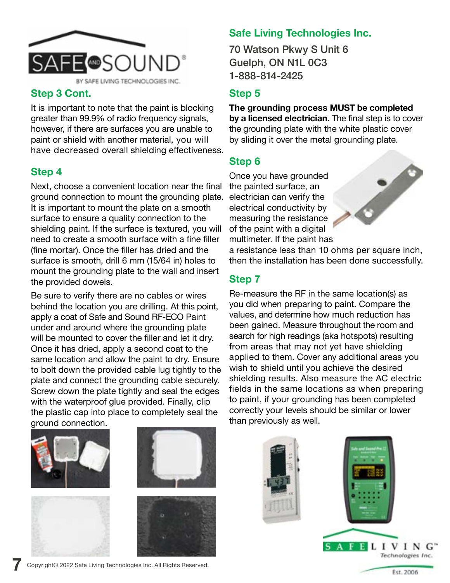

#### **Step 3 Cont.**

It is important to note that the paint is blocking greater than 99.9% of radio frequency signals, however, if there are surfaces you are unable to paint or shield with another material, you will have decreased overall shielding effectiveness.

## **Step 4**

Next, choose a convenient location near the final ground connection to mount the grounding plate. It is important to mount the plate on a smooth surface to ensure a quality connection to the shielding paint. If the surface is textured, you will need to create a smooth surface with a fine filler (fine mortar). Once the filler has dried and the surface is smooth, drill 6 mm (15/64 in) holes to mount the grounding plate to the wall and insert the provided dowels.

Be sure to verify there are no cables or wires behind the location you are drilling. At this point, apply a coat of Safe and Sound RF-ECO Paint under and around where the grounding plate will be mounted to cover the filler and let it dry. Once it has dried, apply a second coat to the same location and allow the paint to dry. Ensure to bolt down the provided cable lug tightly to the plate and connect the grounding cable securely. Screw down the plate tightly and seal the edges with the waterproof glue provided. Finally, clip the plastic cap into place to completely seal the ground connection.



**7**





## **Safe Living Technologies Inc.**

70 Watson Pkwy S Unit 6 Guelph, ON N1L 0C3 1-888-814-2425

#### **Step 5**

**The grounding process MUST be completed by a licensed electrician.** The final step is to cover the grounding plate with the white plastic cover by sliding it over the metal grounding plate.

## **Step 6**

Once you have grounded the painted surface, an electrician can verify the electrical conductivity by measuring the resistance of the paint with a digital multimeter. If the paint has



a resistance less than 10 ohms per square inch, then the installation has been done successfully.

#### **Step 7**

Re-measure the RF in the same location(s) as you did when preparing to paint. Compare the values, and determine how much reduction has been gained. Measure throughout the room and search for high readings (aka hotspots) resulting from areas that may not yet have shielding applied to them. Cover any additional areas you wish to shield until you achieve the desired shielding results. Also measure the AC electric fields in the same locations as when preparing to paint, if your grounding has been completed correctly your levels should be similar or lower than previously as well.



Copyright© 2022 Safe Living Technologies Inc. All Rights Reserved.